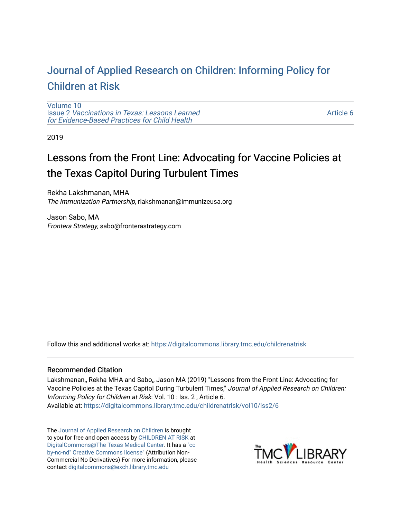# [Journal of Applied Research on Children: Informing Policy for](https://digitalcommons.library.tmc.edu/childrenatrisk) [Children at Risk](https://digitalcommons.library.tmc.edu/childrenatrisk)

[Volume 10](https://digitalcommons.library.tmc.edu/childrenatrisk/vol10) Issue 2 [Vaccinations in Texas: Lessons Learned](https://digitalcommons.library.tmc.edu/childrenatrisk/vol10/iss2)  [for Evidence-Based Practices for Child Health](https://digitalcommons.library.tmc.edu/childrenatrisk/vol10/iss2)

[Article 6](https://digitalcommons.library.tmc.edu/childrenatrisk/vol10/iss2/6) 

2019

# Lessons from the Front Line: Advocating for Vaccine Policies at the Texas Capitol During Turbulent Times

Rekha Lakshmanan, MHA The Immunization Partnership, rlakshmanan@immunizeusa.org

Jason Sabo, MA Frontera Strategy, sabo@fronterastrategy.com

Follow this and additional works at: [https://digitalcommons.library.tmc.edu/childrenatrisk](https://digitalcommons.library.tmc.edu/childrenatrisk?utm_source=digitalcommons.library.tmc.edu%2Fchildrenatrisk%2Fvol10%2Fiss2%2F6&utm_medium=PDF&utm_campaign=PDFCoverPages) 

#### Recommended Citation

Lakshmanan,, Rekha MHA and Sabo,, Jason MA (2019) "Lessons from the Front Line: Advocating for Vaccine Policies at the Texas Capitol During Turbulent Times," Journal of Applied Research on Children: Informing Policy for Children at Risk: Vol. 10 : Iss. 2 , Article 6. Available at: [https://digitalcommons.library.tmc.edu/childrenatrisk/vol10/iss2/6](https://digitalcommons.library.tmc.edu/childrenatrisk/vol10/iss2/6?utm_source=digitalcommons.library.tmc.edu%2Fchildrenatrisk%2Fvol10%2Fiss2%2F6&utm_medium=PDF&utm_campaign=PDFCoverPages) 

The [Journal of Applied Research on Children](http://digitalcommons.library.tmc.edu/childrenatrisk) is brought to you for free and open access by [CHILDREN AT RISK](http://childrenatrisk.org/) at [DigitalCommons@The Texas Medical Center](http://digitalcommons.library.tmc.edu/). It has a ["cc](http://creativecommons.org/licenses/by-nc-nd/3.0/)  [by-nc-nd" Creative Commons license"](http://creativecommons.org/licenses/by-nc-nd/3.0/) (Attribution Non-Commercial No Derivatives) For more information, please contact [digitalcommons@exch.library.tmc.edu](mailto:digitalcommons@exch.library.tmc.edu) 

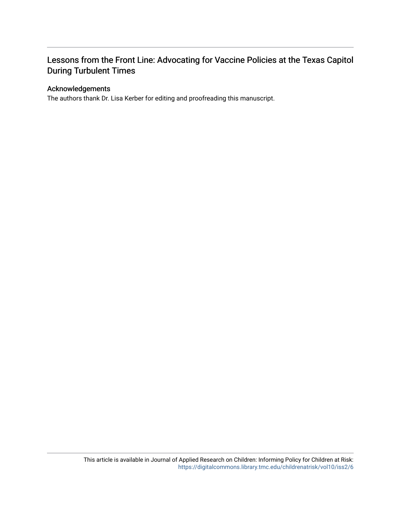# Lessons from the Front Line: Advocating for Vaccine Policies at the Texas Capitol During Turbulent Times

## Acknowledgements

The authors thank Dr. Lisa Kerber for editing and proofreading this manuscript.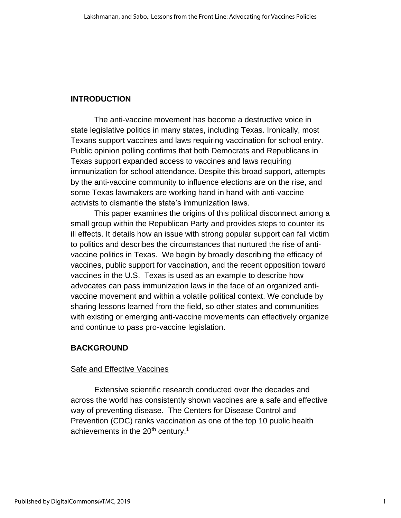## **INTRODUCTION**

The anti-vaccine movement has become a destructive voice in state legislative politics in many states, including Texas. Ironically, most Texans support vaccines and laws requiring vaccination for school entry. Public opinion polling confirms that both Democrats and Republicans in Texas support expanded access to vaccines and laws requiring immunization for school attendance. Despite this broad support, attempts by the anti-vaccine community to influence elections are on the rise, and some Texas lawmakers are working hand in hand with anti-vaccine activists to dismantle the state's immunization laws.

This paper examines the origins of this political disconnect among a small group within the Republican Party and provides steps to counter its ill effects. It details how an issue with strong popular support can fall victim to politics and describes the circumstances that nurtured the rise of antivaccine politics in Texas. We begin by broadly describing the efficacy of vaccines, public support for vaccination, and the recent opposition toward vaccines in the U.S. Texas is used as an example to describe how advocates can pass immunization laws in the face of an organized antivaccine movement and within a volatile political context. We conclude by sharing lessons learned from the field, so other states and communities with existing or emerging anti-vaccine movements can effectively organize and continue to pass pro-vaccine legislation.

## **BACKGROUND**

## Safe and Effective Vaccines

Extensive scientific research conducted over the decades and across the world has consistently shown vaccines are a safe and effective way of preventing disease. The Centers for Disease Control and Prevention (CDC) ranks vaccination as one of the top 10 public health achievements in the 20<sup>th</sup> century.<sup>1</sup>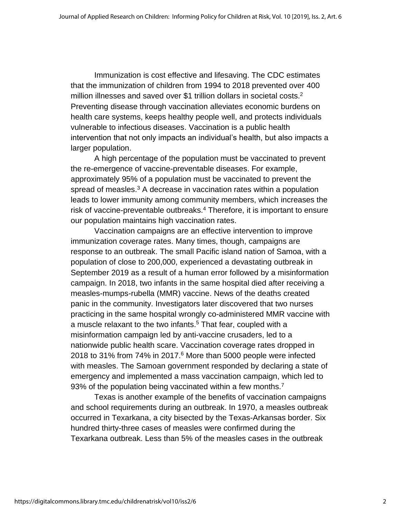Immunization is cost effective and lifesaving. The CDC estimates that the immunization of children from 1994 to 2018 prevented over 400 million illnesses and saved over \$1 trillion dollars in societal costs.<sup>2</sup> Preventing disease through vaccination alleviates economic burdens on health care systems, keeps healthy people well, and protects individuals vulnerable to infectious diseases. Vaccination is a public health intervention that not only impacts an individual's health, but also impacts a larger population.

A high percentage of the population must be vaccinated to prevent the re-emergence of vaccine-preventable diseases. For example, approximately 95% of a population must be vaccinated to prevent the spread of measles. $3$  A decrease in vaccination rates within a population leads to lower immunity among community members, which increases the risk of vaccine-preventable outbreaks. <sup>4</sup> Therefore, it is important to ensure our population maintains high vaccination rates.

Vaccination campaigns are an effective intervention to improve immunization coverage rates. Many times, though, campaigns are response to an outbreak. The small Pacific island nation of Samoa, with a population of close to 200,000, experienced a devastating outbreak in September 2019 as a result of a human error followed by a misinformation campaign. In 2018, two infants in the same hospital died after receiving a measles-mumps-rubella (MMR) vaccine. News of the deaths created panic in the community. Investigators later discovered that two nurses practicing in the same hospital wrongly co-administered MMR vaccine with a muscle relaxant to the two infants. <sup>5</sup> That fear, coupled with a misinformation campaign led by anti-vaccine crusaders, led to a nationwide public health scare. Vaccination coverage rates dropped in 2018 to 31% from 74% in 2017. <sup>6</sup> More than 5000 people were infected with measles. The Samoan government responded by declaring a state of emergency and implemented a mass vaccination campaign, which led to 93% of the population being vaccinated within a few months.<sup>7</sup>

Texas is another example of the benefits of vaccination campaigns and school requirements during an outbreak. In 1970, a measles outbreak occurred in Texarkana, a city bisected by the Texas-Arkansas border. Six hundred thirty-three cases of measles were confirmed during the Texarkana outbreak. Less than 5% of the measles cases in the outbreak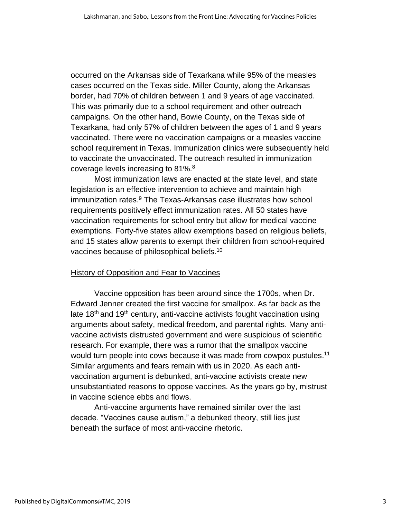occurred on the Arkansas side of Texarkana while 95% of the measles cases occurred on the Texas side. Miller County, along the Arkansas border, had 70% of children between 1 and 9 years of age vaccinated. This was primarily due to a school requirement and other outreach campaigns. On the other hand, Bowie County, on the Texas side of Texarkana, had only 57% of children between the ages of 1 and 9 years vaccinated. There were no vaccination campaigns or a measles vaccine school requirement in Texas. Immunization clinics were subsequently held to vaccinate the unvaccinated. The outreach resulted in immunization coverage levels increasing to 81%.<sup>8</sup>

Most immunization laws are enacted at the state level, and state legislation is an effective intervention to achieve and maintain high immunization rates. <sup>9</sup> The Texas-Arkansas case illustrates how school requirements positively effect immunization rates. All 50 states have vaccination requirements for school entry but allow for medical vaccine exemptions. Forty-five states allow exemptions based on religious beliefs, and 15 states allow parents to exempt their children from school-required vaccines because of philosophical beliefs.<sup>10</sup>

## History of Opposition and Fear to Vaccines

Vaccine opposition has been around since the 1700s, when Dr. Edward Jenner created the first vaccine for smallpox. As far back as the late  $18<sup>th</sup>$  and  $19<sup>th</sup>$  century, anti-vaccine activists fought vaccination using arguments about safety, medical freedom, and parental rights. Many antivaccine activists distrusted government and were suspicious of scientific research. For example, there was a rumor that the smallpox vaccine would turn people into cows because it was made from cowpox pustules.<sup>11</sup> Similar arguments and fears remain with us in 2020. As each antivaccination argument is debunked, anti-vaccine activists create new unsubstantiated reasons to oppose vaccines. As the years go by, mistrust in vaccine science ebbs and flows.

Anti-vaccine arguments have remained similar over the last decade. "Vaccines cause autism," a debunked theory, still lies just beneath the surface of most anti-vaccine rhetoric.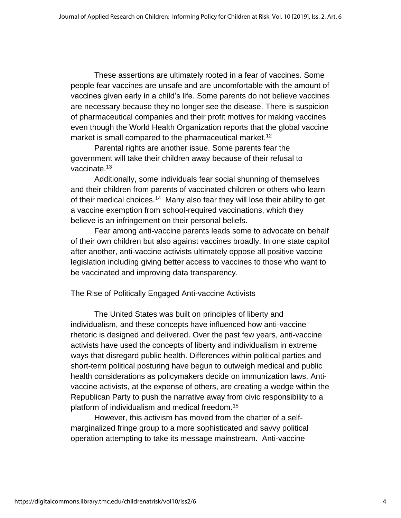These assertions are ultimately rooted in a fear of vaccines. Some people fear vaccines are unsafe and are uncomfortable with the amount of vaccines given early in a child's life. Some parents do not believe vaccines are necessary because they no longer see the disease. There is suspicion of pharmaceutical companies and their profit motives for making vaccines even though the World Health Organization reports that the global vaccine market is small compared to the pharmaceutical market.<sup>12</sup>

Parental rights are another issue. Some parents fear the government will take their children away because of their refusal to vaccinate.<sup>13</sup>

Additionally, some individuals fear social shunning of themselves and their children from parents of vaccinated children or others who learn of their medical choices.<sup>14</sup> Many also fear they will lose their ability to get a vaccine exemption from school-required vaccinations, which they believe is an infringement on their personal beliefs.

Fear among anti-vaccine parents leads some to advocate on behalf of their own children but also against vaccines broadly. In one state capitol after another, anti-vaccine activists ultimately oppose all positive vaccine legislation including giving better access to vaccines to those who want to be vaccinated and improving data transparency.

## The Rise of Politically Engaged Anti-vaccine Activists

The United States was built on principles of liberty and individualism, and these concepts have influenced how anti-vaccine rhetoric is designed and delivered. Over the past few years, anti-vaccine activists have used the concepts of liberty and individualism in extreme ways that disregard public health. Differences within political parties and short-term political posturing have begun to outweigh medical and public health considerations as policymakers decide on immunization laws. Antivaccine activists, at the expense of others, are creating a wedge within the Republican Party to push the narrative away from civic responsibility to a platform of individualism and medical freedom.<sup>15</sup>

However, this activism has moved from the chatter of a selfmarginalized fringe group to a more sophisticated and savvy political operation attempting to take its message mainstream. Anti-vaccine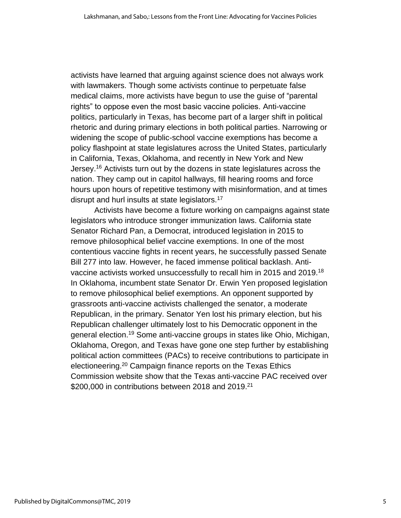activists have learned that arguing against science does not always work with lawmakers. Though some activists continue to perpetuate false medical claims, more activists have begun to use the guise of "parental rights" to oppose even the most basic vaccine policies. Anti-vaccine politics, particularly in Texas, has become part of a larger shift in political rhetoric and during primary elections in both political parties. Narrowing or widening the scope of public-school vaccine exemptions has become a policy flashpoint at state legislatures across the United States, particularly in California, Texas, Oklahoma, and recently in New York and New Jersey.<sup>16</sup> Activists turn out by the dozens in state legislatures across the nation. They camp out in capitol hallways, fill hearing rooms and force hours upon hours of repetitive testimony with misinformation, and at times disrupt and hurl insults at state legislators.<sup>17</sup>

Activists have become a fixture working on campaigns against state legislators who introduce stronger immunization laws. California state Senator Richard Pan, a Democrat, introduced legislation in 2015 to remove philosophical belief vaccine exemptions. In one of the most contentious vaccine fights in recent years, he successfully passed Senate Bill 277 into law. However, he faced immense political backlash. Antivaccine activists worked unsuccessfully to recall him in 2015 and 2019.<sup>18</sup> In Oklahoma, incumbent state Senator Dr. Erwin Yen proposed legislation to remove philosophical belief exemptions. An opponent supported by grassroots anti-vaccine activists challenged the senator, a moderate Republican, in the primary. Senator Yen lost his primary election, but his Republican challenger ultimately lost to his Democratic opponent in the general election.<sup>19</sup> Some anti-vaccine groups in states like Ohio, Michigan, Oklahoma, Oregon, and Texas have gone one step further by establishing political action committees (PACs) to receive contributions to participate in electioneering. <sup>20</sup> Campaign finance reports on the Texas Ethics Commission website show that the Texas anti-vaccine PAC received over  $$200,000$  in contributions between 2018 and 2019.<sup>21</sup>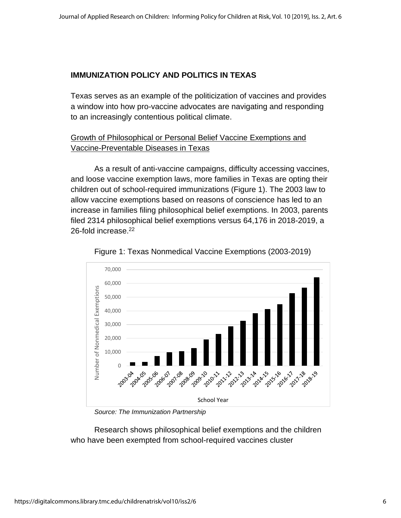## **IMMUNIZATION POLICY AND POLITICS IN TEXAS**

Texas serves as an example of the politicization of vaccines and provides a window into how pro-vaccine advocates are navigating and responding to an increasingly contentious political climate.

# Growth of Philosophical or Personal Belief Vaccine Exemptions and Vaccine-Preventable Diseases in Texas

As a result of anti-vaccine campaigns, difficulty accessing vaccines, and loose vaccine exemption laws, more families in Texas are opting their children out of school-required immunizations (Figure 1). The 2003 law to allow vaccine exemptions based on reasons of conscience has led to an increase in families filing philosophical belief exemptions. In 2003, parents filed 2314 philosophical belief exemptions versus 64,176 in 2018-2019, a 26-fold increase. 22





*Source: The Immunization Partnership*

Research shows philosophical belief exemptions and the children who have been exempted from school-required vaccines cluster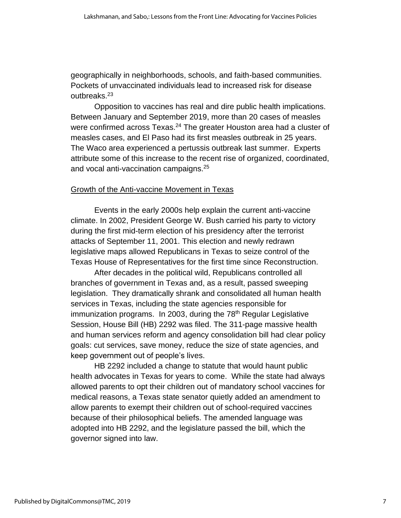geographically in neighborhoods, schools, and faith-based communities. Pockets of unvaccinated individuals lead to increased risk for disease outbreaks.<sup>23</sup>

Opposition to vaccines has real and dire public health implications. Between January and September 2019, more than 20 cases of measles were confirmed across Texas.<sup>24</sup> The greater Houston area had a cluster of measles cases, and El Paso had its first measles outbreak in 25 years. The Waco area experienced a pertussis outbreak last summer. Experts attribute some of this increase to the recent rise of organized, coordinated, and vocal anti-vaccination campaigns.<sup>25</sup>

#### Growth of the Anti-vaccine Movement in Texas

Events in the early 2000s help explain the current anti-vaccine climate. In 2002, President George W. Bush carried his party to victory during the first mid-term election of his presidency after the terrorist attacks of September 11, 2001. This election and newly redrawn legislative maps allowed Republicans in Texas to seize control of the Texas House of Representatives for the first time since Reconstruction.

After decades in the political wild, Republicans controlled all branches of government in Texas and, as a result, passed sweeping legislation. They dramatically shrank and consolidated all human health services in Texas, including the state agencies responsible for immunization programs. In 2003, during the  $78<sup>th</sup>$  Regular Legislative Session, House Bill (HB) 2292 was filed. The 311-page massive health and human services reform and agency consolidation bill had clear policy goals: cut services, save money, reduce the size of state agencies, and keep government out of people's lives.

HB 2292 included a change to statute that would haunt public health advocates in Texas for years to come. While the state had always allowed parents to opt their children out of mandatory school vaccines for medical reasons, a Texas state senator quietly added an amendment to allow parents to exempt their children out of school-required vaccines because of their philosophical beliefs. The amended language was adopted into HB 2292, and the legislature passed the bill, which the governor signed into law.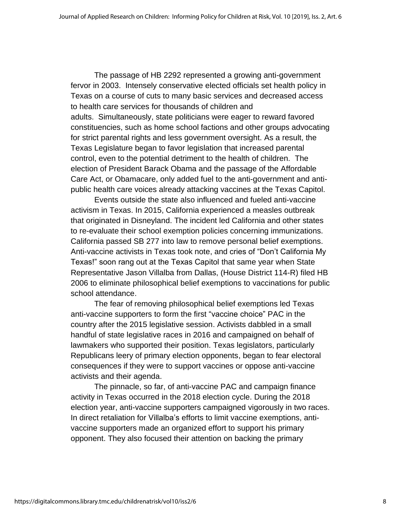The passage of HB 2292 represented a growing anti-government fervor in 2003. Intensely conservative elected officials set health policy in Texas on a course of cuts to many basic services and decreased access to health care services for thousands of children and adults. Simultaneously, state politicians were eager to reward favored constituencies, such as home school factions and other groups advocating for strict parental rights and less government oversight. As a result, the Texas Legislature began to favor legislation that increased parental control, even to the potential detriment to the health of children. The election of President Barack Obama and the passage of the Affordable Care Act, or Obamacare, only added fuel to the anti-government and antipublic health care voices already attacking vaccines at the Texas Capitol.

Events outside the state also influenced and fueled anti-vaccine activism in Texas. In 2015, California experienced a measles outbreak that originated in Disneyland. The incident led California and other states to re-evaluate their school exemption policies concerning immunizations. California passed SB 277 into law to remove personal belief exemptions. Anti-vaccine activists in Texas took note, and cries of "Don't California My Texas!" soon rang out at the Texas Capitol that same year when State Representative Jason Villalba from Dallas, (House District 114-R) filed HB 2006 to eliminate philosophical belief exemptions to vaccinations for public school attendance.

The fear of removing philosophical belief exemptions led Texas anti-vaccine supporters to form the first "vaccine choice" PAC in the country after the 2015 legislative session. Activists dabbled in a small handful of state legislative races in 2016 and campaigned on behalf of lawmakers who supported their position. Texas legislators, particularly Republicans leery of primary election opponents, began to fear electoral consequences if they were to support vaccines or oppose anti-vaccine activists and their agenda.

The pinnacle, so far, of anti-vaccine PAC and campaign finance activity in Texas occurred in the 2018 election cycle. During the 2018 election year, anti-vaccine supporters campaigned vigorously in two races. In direct retaliation for Villalba's efforts to limit vaccine exemptions, antivaccine supporters made an organized effort to support his primary opponent. They also focused their attention on backing the primary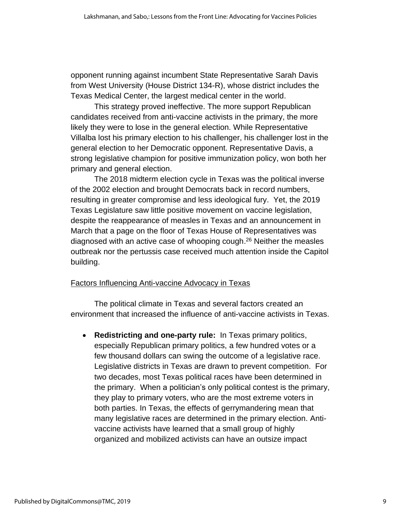opponent running against incumbent State Representative Sarah Davis from West University (House District 134-R), whose district includes the Texas Medical Center, the largest medical center in the world.

This strategy proved ineffective. The more support Republican candidates received from anti-vaccine activists in the primary, the more likely they were to lose in the general election. While Representative Villalba lost his primary election to his challenger, his challenger lost in the general election to her Democratic opponent. Representative Davis, a strong legislative champion for positive immunization policy, won both her primary and general election.

The 2018 midterm election cycle in Texas was the political inverse of the 2002 election and brought Democrats back in record numbers, resulting in greater compromise and less ideological fury. Yet, the 2019 Texas Legislature saw little positive movement on vaccine legislation, despite the reappearance of measles in Texas and an announcement in March that a page on the floor of Texas House of Representatives was diagnosed with an active case of whooping cough. <sup>26</sup> Neither the measles outbreak nor the pertussis case received much attention inside the Capitol building.

## Factors Influencing Anti-vaccine Advocacy in Texas

The political climate in Texas and several factors created an environment that increased the influence of anti-vaccine activists in Texas.

• **Redistricting and one-party rule:** In Texas primary politics, especially Republican primary politics, a few hundred votes or a few thousand dollars can swing the outcome of a legislative race. Legislative districts in Texas are drawn to prevent competition. For two decades, most Texas political races have been determined in the primary. When a politician's only political contest is the primary, they play to primary voters, who are the most extreme voters in both parties. In Texas, the effects of gerrymandering mean that many legislative races are determined in the primary election. Antivaccine activists have learned that a small group of highly organized and mobilized activists can have an outsize impact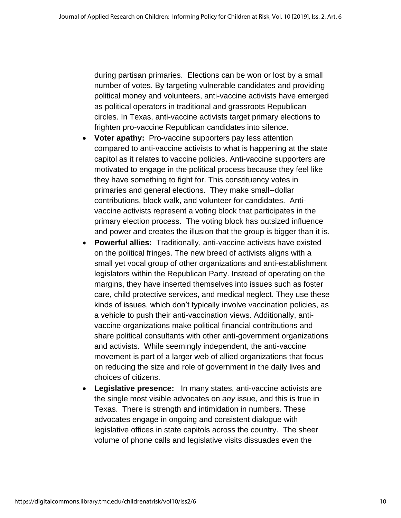during partisan primaries. Elections can be won or lost by a small number of votes. By targeting vulnerable candidates and providing political money and volunteers, anti-vaccine activists have emerged as political operators in traditional and grassroots Republican circles. In Texas, anti-vaccine activists target primary elections to frighten pro-vaccine Republican candidates into silence.

- **Voter apathy:** Pro-vaccine supporters pay less attention compared to anti-vaccine activists to what is happening at the state capitol as it relates to vaccine policies. Anti-vaccine supporters are motivated to engage in the political process because they feel like they have something to fight for. This constituency votes in primaries and general elections. They make small--dollar contributions, block walk, and volunteer for candidates. Antivaccine activists represent a voting block that participates in the primary election process. The voting block has outsized influence and power and creates the illusion that the group is bigger than it is.
- **Powerful allies:** Traditionally, anti-vaccine activists have existed on the political fringes. The new breed of activists aligns with a small yet vocal group of other organizations and anti-establishment legislators within the Republican Party. Instead of operating on the margins, they have inserted themselves into issues such as foster care, child protective services, and medical neglect. They use these kinds of issues, which don't typically involve vaccination policies, as a vehicle to push their anti-vaccination views. Additionally, antivaccine organizations make political financial contributions and share political consultants with other anti-government organizations and activists. While seemingly independent, the anti-vaccine movement is part of a larger web of allied organizations that focus on reducing the size and role of government in the daily lives and choices of citizens.
- **Legislative presence:** In many states, anti-vaccine activists are the single most visible advocates on *any* issue, and this is true in Texas. There is strength and intimidation in numbers. These advocates engage in ongoing and consistent dialogue with legislative offices in state capitols across the country. The sheer volume of phone calls and legislative visits dissuades even the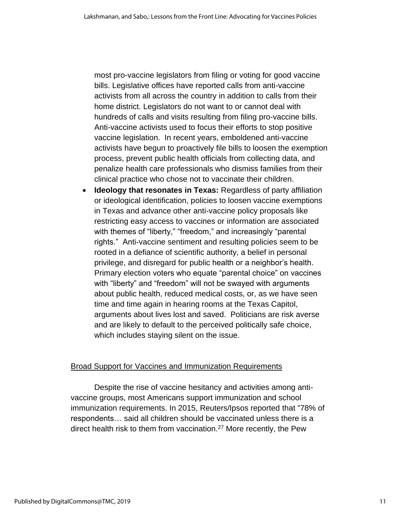most pro-vaccine legislators from filing or voting for good vaccine bills. Legislative offices have reported calls from anti-vaccine activists from all across the country in addition to calls from their home district. Legislators do not want to or cannot deal with hundreds of calls and visits resulting from filing pro-vaccine bills. Anti-vaccine activists used to focus their efforts to stop positive vaccine legislation. In recent years, emboldened anti-vaccine activists have begun to proactively file bills to loosen the exemption process, prevent public health officials from collecting data, and penalize health care professionals who dismiss families from their clinical practice who chose not to vaccinate their children.

• **Ideology that resonates in Texas:** Regardless of party affiliation or ideological identification, policies to loosen vaccine exemptions in Texas and advance other anti-vaccine policy proposals like restricting easy access to vaccines or information are associated with themes of "liberty," "freedom," and increasingly "parental rights." Anti-vaccine sentiment and resulting policies seem to be rooted in a defiance of scientific authority, a belief in personal privilege, and disregard for public health or a neighbor's health. Primary election voters who equate "parental choice" on vaccines with "liberty" and "freedom" will not be swayed with arguments about public health, reduced medical costs, or, as we have seen time and time again in hearing rooms at the Texas Capitol, arguments about lives lost and saved. Politicians are risk averse and are likely to default to the perceived politically safe choice, which includes staying silent on the issue.

## **Broad Support for Vaccines and Immunization Requirements**

Despite the rise of vaccine hesitancy and activities among antivaccine groups, most Americans support immunization and school immunization requirements. In 2015, Reuters/Ipsos reported that "78% of respondents… said all children should be vaccinated unless there is a direct health risk to them from vaccination.<sup>27</sup> More recently, the Pew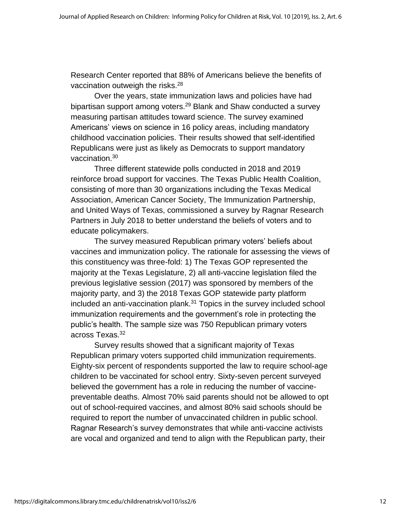Research Center reported that 88% of Americans believe the benefits of vaccination outweigh the risks. $28$ 

Over the years, state immunization laws and policies have had bipartisan support among voters.<sup>29</sup> Blank and Shaw conducted a survey measuring partisan attitudes toward science. The survey examined Americans' views on science in 16 policy areas, including mandatory childhood vaccination policies. Their results showed that self-identified Republicans were just as likely as Democrats to support mandatory vaccination.<sup>30</sup>

Three different statewide polls conducted in 2018 and 2019 reinforce broad support for vaccines. The Texas Public Health Coalition, consisting of more than 30 organizations including the Texas Medical Association, American Cancer Society, The Immunization Partnership, and United Ways of Texas, commissioned a survey by Ragnar Research Partners in July 2018 to better understand the beliefs of voters and to educate policymakers.

The survey measured Republican primary voters' beliefs about vaccines and immunization policy. The rationale for assessing the views of this constituency was three-fold: 1) The Texas GOP represented the majority at the Texas Legislature, 2) all anti-vaccine legislation filed the previous legislative session (2017) was sponsored by members of the majority party, and 3) the 2018 Texas GOP statewide party platform included an anti-vaccination plank.<sup>31</sup> Topics in the survey included school immunization requirements and the government's role in protecting the public's health. The sample size was 750 Republican primary voters across Texas.<sup>32</sup>

Survey results showed that a significant majority of Texas Republican primary voters supported child immunization requirements. Eighty-six percent of respondents supported the law to require school-age children to be vaccinated for school entry. Sixty-seven percent surveyed believed the government has a role in reducing the number of vaccinepreventable deaths. Almost 70% said parents should not be allowed to opt out of school-required vaccines, and almost 80% said schools should be required to report the number of unvaccinated children in public school. Ragnar Research's survey demonstrates that while anti-vaccine activists are vocal and organized and tend to align with the Republican party, their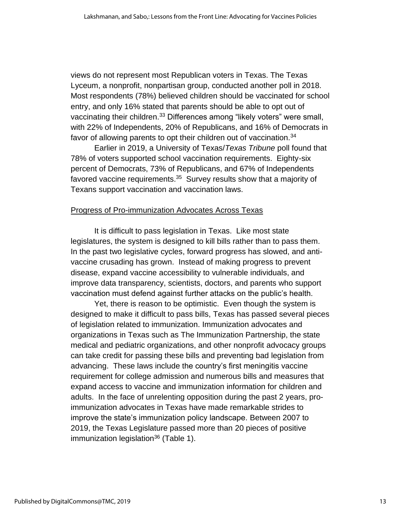views do not represent most Republican voters in Texas. The Texas Lyceum, a nonprofit, nonpartisan group, conducted another poll in 2018. Most respondents (78%) believed children should be vaccinated for school entry, and only 16% stated that parents should be able to opt out of vaccinating their children.<sup>33</sup> Differences among "likely voters" were small, with 22% of Independents, 20% of Republicans, and 16% of Democrats in favor of allowing parents to opt their children out of vaccination.<sup>34</sup>

Earlier in 2019, a University of Texas/*Texas Tribune* poll found that 78% of voters supported school vaccination requirements. Eighty-six percent of Democrats, 73% of Republicans, and 67% of Independents favored vaccine requirements.<sup>35</sup> Survey results show that a majority of Texans support vaccination and vaccination laws.

#### Progress of Pro-immunization Advocates Across Texas

It is difficult to pass legislation in Texas. Like most state legislatures, the system is designed to kill bills rather than to pass them. In the past two legislative cycles, forward progress has slowed, and antivaccine crusading has grown. Instead of making progress to prevent disease, expand vaccine accessibility to vulnerable individuals, and improve data transparency, scientists, doctors, and parents who support vaccination must defend against further attacks on the public's health.

Yet, there is reason to be optimistic. Even though the system is designed to make it difficult to pass bills, Texas has passed several pieces of legislation related to immunization. Immunization advocates and organizations in Texas such as The Immunization Partnership, the state medical and pediatric organizations, and other nonprofit advocacy groups can take credit for passing these bills and preventing bad legislation from advancing. These laws include the country's first meningitis vaccine requirement for college admission and numerous bills and measures that expand access to vaccine and immunization information for children and adults. In the face of unrelenting opposition during the past 2 years, proimmunization advocates in Texas have made remarkable strides to improve the state's immunization policy landscape. Between 2007 to 2019, the Texas Legislature passed more than 20 pieces of positive immunization legislation $36$  (Table 1).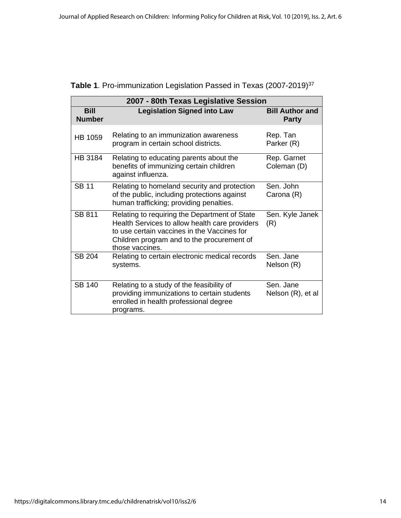| 2007 - 80th Texas Legislative Session |                                                                                                                                                                                                                 |                                        |  |
|---------------------------------------|-----------------------------------------------------------------------------------------------------------------------------------------------------------------------------------------------------------------|----------------------------------------|--|
| <b>Bill</b><br><b>Number</b>          | <b>Legislation Signed into Law</b>                                                                                                                                                                              | <b>Bill Author and</b><br><b>Party</b> |  |
| <b>HB 1059</b>                        | Relating to an immunization awareness<br>program in certain school districts.                                                                                                                                   | Rep. Tan<br>Parker (R)                 |  |
| <b>HB 3184</b>                        | Relating to educating parents about the<br>benefits of immunizing certain children<br>against influenza.                                                                                                        | Rep. Garnet<br>Coleman (D)             |  |
| <b>SB 11</b>                          | Relating to homeland security and protection<br>of the public, including protections against<br>human trafficking; providing penalties.                                                                         | Sen. John<br>Carona (R)                |  |
| <b>SB 811</b>                         | Relating to requiring the Department of State<br>Health Services to allow health care providers<br>to use certain vaccines in the Vaccines for<br>Children program and to the procurement of<br>those vaccines. | Sen. Kyle Janek<br>(R)                 |  |
| <b>SB 204</b>                         | Relating to certain electronic medical records<br>systems.                                                                                                                                                      | Sen. Jane<br>Nelson (R)                |  |
| <b>SB 140</b>                         | Relating to a study of the feasibility of<br>providing immunizations to certain students<br>enrolled in health professional degree<br>programs.                                                                 | Sen. Jane<br>Nelson (R), et al         |  |

| Table 1. Pro-immunization Legislation Passed in Texas (2007-2019) <sup>37</sup> |  |  |  |
|---------------------------------------------------------------------------------|--|--|--|
|                                                                                 |  |  |  |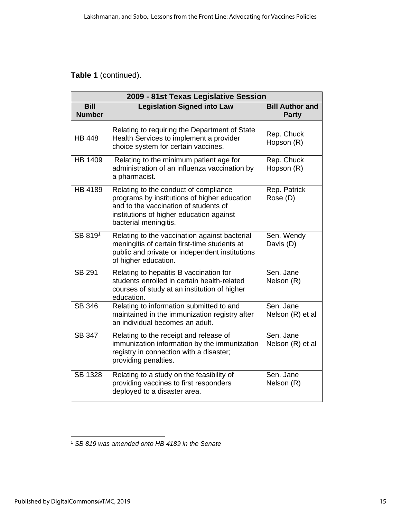# **Table 1** (continued).

| 2009 - 81st Texas Legislative Session |                                                                                                                                                                                                     |                                        |  |
|---------------------------------------|-----------------------------------------------------------------------------------------------------------------------------------------------------------------------------------------------------|----------------------------------------|--|
| <b>Bill</b><br><b>Number</b>          | <b>Legislation Signed into Law</b>                                                                                                                                                                  | <b>Bill Author and</b><br><b>Party</b> |  |
| <b>HB 448</b>                         | Relating to requiring the Department of State<br>Health Services to implement a provider<br>choice system for certain vaccines.                                                                     | Rep. Chuck<br>Hopson (R)               |  |
| HB 1409                               | Relating to the minimum patient age for<br>administration of an influenza vaccination by<br>a pharmacist.                                                                                           | Rep. Chuck<br>Hopson (R)               |  |
| <b>HB 4189</b>                        | Relating to the conduct of compliance<br>programs by institutions of higher education<br>and to the vaccination of students of<br>institutions of higher education against<br>bacterial meningitis. | Rep. Patrick<br>Rose (D)               |  |
| SB 8191                               | Relating to the vaccination against bacterial<br>meningitis of certain first-time students at<br>public and private or independent institutions<br>of higher education.                             | Sen. Wendy<br>Davis (D)                |  |
| <b>SB 291</b>                         | Relating to hepatitis B vaccination for<br>students enrolled in certain health-related<br>courses of study at an institution of higher<br>education.                                                | Sen. Jane<br>Nelson (R)                |  |
| <b>SB 346</b>                         | Relating to information submitted to and<br>maintained in the immunization registry after<br>an individual becomes an adult.                                                                        | Sen. Jane<br>Nelson (R) et al          |  |
| <b>SB 347</b>                         | Relating to the receipt and release of<br>immunization information by the immunization<br>registry in connection with a disaster;<br>providing penalties.                                           | Sen. Jane<br>Nelson (R) et al          |  |
| <b>SB 1328</b>                        | Relating to a study on the feasibility of<br>providing vaccines to first responders<br>deployed to a disaster area.                                                                                 | Sen. Jane<br>Nelson (R)                |  |

<sup>1</sup> *SB 819 was amended onto HB 4189 in the Senate*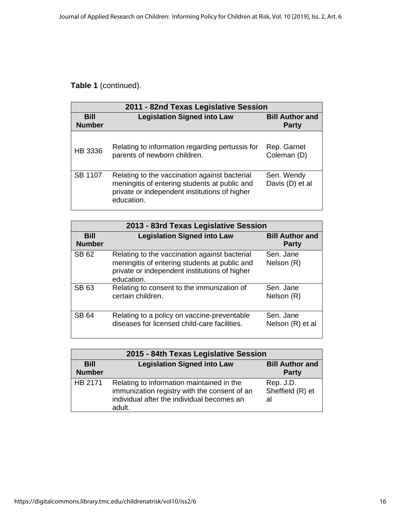# **Table 1** (continued).

| 2011 - 82nd Texas Legislative Session |                                                                                                                                                               |                                        |  |
|---------------------------------------|---------------------------------------------------------------------------------------------------------------------------------------------------------------|----------------------------------------|--|
| <b>Bill</b><br><b>Number</b>          | <b>Legislation Signed into Law</b>                                                                                                                            | <b>Bill Author and</b><br><b>Party</b> |  |
| HB 3336                               | Relating to information regarding pertussis for<br>parents of newborn children.                                                                               | Rep. Garnet<br>Coleman (D)             |  |
| SB 1107                               | Relating to the vaccination against bacterial<br>meningitis of entering students at public and<br>private or independent institutions of higher<br>education. | Sen. Wendy<br>Davis (D) et al          |  |

| 2013 - 83rd Texas Legislative Session |                                                                                                                                                               |                                        |  |
|---------------------------------------|---------------------------------------------------------------------------------------------------------------------------------------------------------------|----------------------------------------|--|
| <b>Bill</b><br><b>Number</b>          | <b>Legislation Signed into Law</b>                                                                                                                            | <b>Bill Author and</b><br><b>Party</b> |  |
| SB 62                                 | Relating to the vaccination against bacterial<br>meningitis of entering students at public and<br>private or independent institutions of higher<br>education. | Sen. Jane<br>Nelson (R)                |  |
| <b>SB 63</b>                          | Relating to consent to the immunization of<br>certain children.                                                                                               | Sen. Jane<br>Nelson (R)                |  |
| <b>SB 64</b>                          | Relating to a policy on vaccine-preventable<br>diseases for licensed child-care facilities.                                                                   | Sen. Jane<br>Nelson (R) et al          |  |

| 2015 - 84th Texas Legislative Session |                                                                                                                                                   |                                        |  |
|---------------------------------------|---------------------------------------------------------------------------------------------------------------------------------------------------|----------------------------------------|--|
| <b>Bill</b><br><b>Number</b>          | <b>Legislation Signed into Law</b>                                                                                                                | <b>Bill Author and</b><br><b>Party</b> |  |
| HB 2171                               | Relating to information maintained in the<br>immunization registry with the consent of an<br>individual after the individual becomes an<br>adult. | Rep. J.D.<br>Sheffield (R) et<br>al    |  |

 $\mathsf{l}$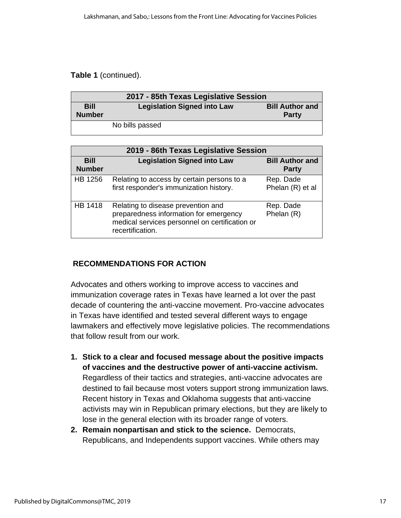## **Table 1** (continued).

| 2017 - 85th Texas Legislative Session |                                    |                                        |
|---------------------------------------|------------------------------------|----------------------------------------|
| <b>Bill</b><br><b>Number</b>          | <b>Legislation Signed into Law</b> | <b>Bill Author and</b><br><b>Party</b> |
|                                       | No bills passed                    |                                        |

| 2019 - 86th Texas Legislative Session |                                                                                                                                                    |                                        |  |
|---------------------------------------|----------------------------------------------------------------------------------------------------------------------------------------------------|----------------------------------------|--|
| <b>Bill</b><br><b>Number</b>          | <b>Legislation Signed into Law</b>                                                                                                                 | <b>Bill Author and</b><br><b>Party</b> |  |
| HB 1256                               | Relating to access by certain persons to a<br>first responder's immunization history.                                                              | Rep. Dade<br>Phelan (R) et al          |  |
| HB 1418                               | Relating to disease prevention and<br>preparedness information for emergency<br>medical services personnel on certification or<br>recertification. | Rep. Dade<br>Phelan (R)                |  |

# **RECOMMENDATIONS FOR ACTION**

Advocates and others working to improve access to vaccines and immunization coverage rates in Texas have learned a lot over the past decade of countering the anti-vaccine movement. Pro-vaccine advocates in Texas have identified and tested several different ways to engage lawmakers and effectively move legislative policies. The recommendations that follow result from our work.

- **1. Stick to a clear and focused message about the positive impacts of vaccines and the destructive power of anti-vaccine activism.** Regardless of their tactics and strategies, anti-vaccine advocates are destined to fail because most voters support strong immunization laws. Recent history in Texas and Oklahoma suggests that anti-vaccine activists may win in Republican primary elections, but they are likely to lose in the general election with its broader range of voters.
- **2. Remain nonpartisan and stick to the science.** Democrats, Republicans, and Independents support vaccines. While others may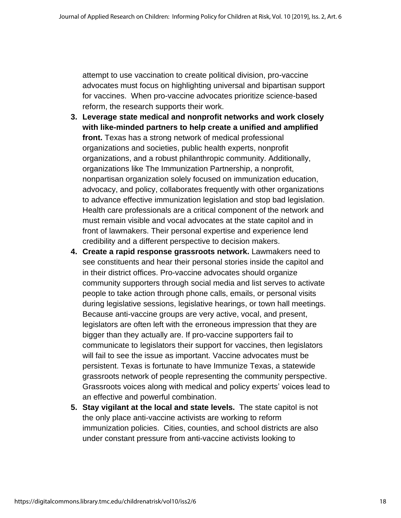attempt to use vaccination to create political division, pro-vaccine advocates must focus on highlighting universal and bipartisan support for vaccines. When pro-vaccine advocates prioritize science-based reform, the research supports their work.

- **3. Leverage state medical and nonprofit networks and work closely with like-minded partners to help create a unified and amplified front.** Texas has a strong network of medical professional organizations and societies, public health experts, nonprofit organizations, and a robust philanthropic community. Additionally, organizations like The Immunization Partnership, a nonprofit, nonpartisan organization solely focused on immunization education, advocacy, and policy, collaborates frequently with other organizations to advance effective immunization legislation and stop bad legislation. Health care professionals are a critical component of the network and must remain visible and vocal advocates at the state capitol and in front of lawmakers. Their personal expertise and experience lend credibility and a different perspective to decision makers.
- **4. Create a rapid response grassroots network.** Lawmakers need to see constituents and hear their personal stories inside the capitol and in their district offices. Pro-vaccine advocates should organize community supporters through social media and list serves to activate people to take action through phone calls, emails, or personal visits during legislative sessions, legislative hearings, or town hall meetings. Because anti-vaccine groups are very active, vocal, and present, legislators are often left with the erroneous impression that they are bigger than they actually are. If pro-vaccine supporters fail to communicate to legislators their support for vaccines, then legislators will fail to see the issue as important. Vaccine advocates must be persistent. Texas is fortunate to have Immunize Texas, a statewide grassroots network of people representing the community perspective. Grassroots voices along with medical and policy experts' voices lead to an effective and powerful combination.
- **5. Stay vigilant at the local and state levels.** The state capitol is not the only place anti-vaccine activists are working to reform immunization policies. Cities, counties, and school districts are also under constant pressure from anti-vaccine activists looking to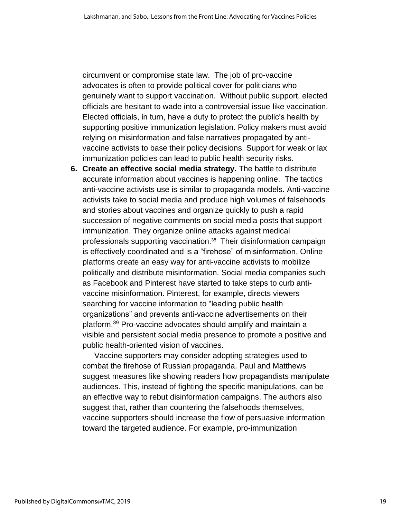circumvent or compromise state law. The job of pro-vaccine advocates is often to provide political cover for politicians who genuinely want to support vaccination. Without public support, elected officials are hesitant to wade into a controversial issue like vaccination. Elected officials, in turn, have a duty to protect the public's health by supporting positive immunization legislation. Policy makers must avoid relying on misinformation and false narratives propagated by antivaccine activists to base their policy decisions. Support for weak or lax immunization policies can lead to public health security risks.

**6. Create an effective social media strategy.** The battle to distribute accurate information about vaccines is happening online.The tactics anti-vaccine activists use is similar to propaganda models. Anti-vaccine activists take to social media and produce high volumes of falsehoods and stories about vaccines and organize quickly to push a rapid succession of negative comments on social media posts that support immunization. They organize online attacks against medical professionals supporting vaccination. <sup>38</sup> Their disinformation campaign is effectively coordinated and is a "firehose" of misinformation. Online platforms create an easy way for anti-vaccine activists to mobilize politically and distribute misinformation. Social media companies such as Facebook and Pinterest have started to take steps to curb antivaccine misinformation. Pinterest, for example, directs viewers searching for vaccine information to "leading public health organizations" and prevents anti-vaccine advertisements on their platform. <sup>39</sup> Pro-vaccine advocates should amplify and maintain a visible and persistent social media presence to promote a positive and public health-oriented vision of vaccines.

Vaccine supporters may consider adopting strategies used to combat the firehose of Russian propaganda. Paul and Matthews suggest measures like showing readers how propagandists manipulate audiences. This, instead of fighting the specific manipulations, can be an effective way to rebut disinformation campaigns. The authors also suggest that, rather than countering the falsehoods themselves, vaccine supporters should increase the flow of persuasive information toward the targeted audience. For example, pro-immunization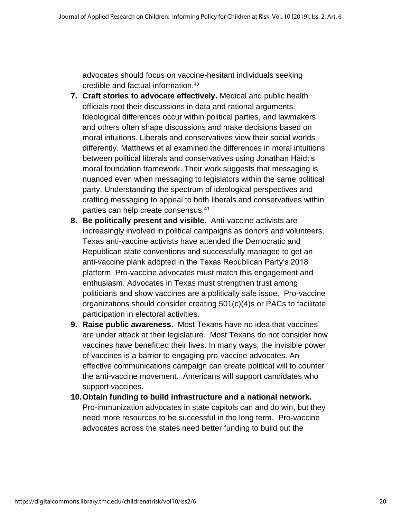advocates should focus on vaccine-hesitant individuals seeking credible and factual information. 40

- **7. Craft stories to advocate effectively.** Medical and public health officials root their discussions in data and rational arguments. Ideological differences occur within political parties, and lawmakers and others often shape discussions and make decisions based on moral intuitions. Liberals and conservatives view their social worlds differently. Matthews et al examined the differences in moral intuitions between political liberals and conservatives using Jonathan Haidt's moral foundation framework. Their work suggests that messaging is nuanced even when messaging to legislators within the same political party. Understanding the spectrum of ideological perspectives and crafting messaging to appeal to both liberals and conservatives within parties can help create consensus. 41
- **8. Be politically present and visible.** Anti-vaccine activists are increasingly involved in political campaigns as donors and volunteers. Texas anti-vaccine activists have attended the Democratic and Republican state conventions and successfully managed to get an anti-vaccine plank adopted in the Texas Republican Party's 2018 platform. Pro-vaccine advocates must match this engagement and enthusiasm. Advocates in Texas must strengthen trust among politicians and show vaccines are a politically safe issue. Pro-vaccine organizations should consider creating 501(c)(4)s or PACs to facilitate participation in electoral activities.
- **9. Raise public awareness.** Most Texans have no idea that vaccines are under attack at their legislature. Most Texans do not consider how vaccines have benefitted their lives. In many ways, the invisible power of vaccines is a barrier to engaging pro-vaccine advocates. An effective communications campaign can create political will to counter the anti-vaccine movement. Americans will support candidates who support vaccines.
- **10.Obtain funding to build infrastructure and a national network.**  Pro-immunization advocates in state capitols can and do win, but they need more resources to be successful in the long term. Pro-vaccine advocates across the states need better funding to build out the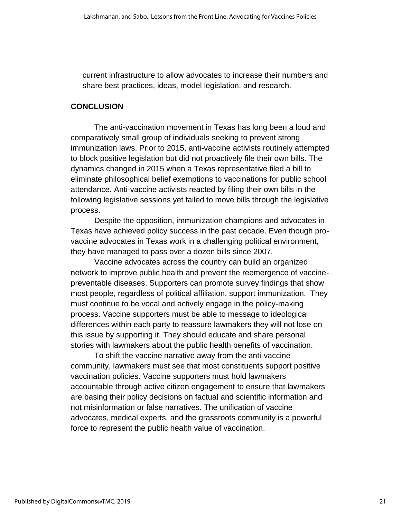current infrastructure to allow advocates to increase their numbers and share best practices, ideas, model legislation, and research.

### **CONCLUSION**

The anti-vaccination movement in Texas has long been a loud and comparatively small group of individuals seeking to prevent strong immunization laws. Prior to 2015, anti-vaccine activists routinely attempted to block positive legislation but did not proactively file their own bills. The dynamics changed in 2015 when a Texas representative filed a bill to eliminate philosophical belief exemptions to vaccinations for public school attendance. Anti-vaccine activists reacted by filing their own bills in the following legislative sessions yet failed to move bills through the legislative process.

Despite the opposition, immunization champions and advocates in Texas have achieved policy success in the past decade. Even though provaccine advocates in Texas work in a challenging political environment, they have managed to pass over a dozen bills since 2007.

Vaccine advocates across the country can build an organized network to improve public health and prevent the reemergence of vaccinepreventable diseases. Supporters can promote survey findings that show most people, regardless of political affiliation, support immunization. They must continue to be vocal and actively engage in the policy-making process. Vaccine supporters must be able to message to ideological differences within each party to reassure lawmakers they will not lose on this issue by supporting it. They should educate and share personal stories with lawmakers about the public health benefits of vaccination.

To shift the vaccine narrative away from the anti-vaccine community, lawmakers must see that most constituents support positive vaccination policies. Vaccine supporters must hold lawmakers accountable through active citizen engagement to ensure that lawmakers are basing their policy decisions on factual and scientific information and not misinformation or false narratives. The unification of vaccine advocates, medical experts, and the grassroots community is a powerful force to represent the public health value of vaccination.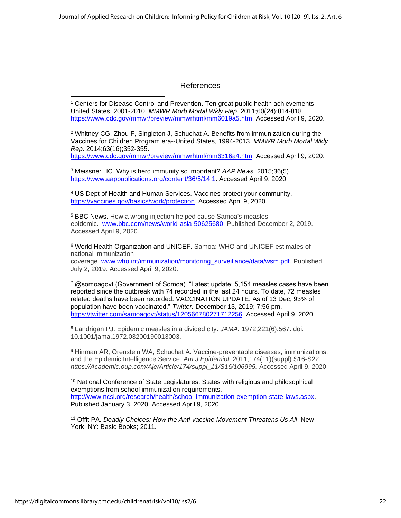#### References

<sup>1</sup> Centers for Disease Control and Prevention. Ten great public health achievements-- United States, 2001-2010. *MMWR Morb Mortal Wkly Rep*. 2011;60(24):814-818. [https://www.cdc.gov/mmwr/preview/mmwrhtml/mm6019a5.htm.](https://www.cdc.gov/mmwr/preview/mmwrhtml/mm6019a5.htm) Accessed April 9, 2020.

<sup>2</sup> Whitney CG, Zhou F, Singleton J, Schuchat A. Benefits from immunization during the Vaccines for Children Program era--United States, 1994-2013. *MMWR Morb Mortal Wkly Rep*. 2014;63(16);352-355.

[https://www.cdc.gov/mmwr/preview/mmwrhtml/mm6316a4.htm.](https://www.cdc.gov/mmwr/preview/mmwrhtml/mm6316a4.htm) Accessed April 9, 2020.

<sup>3</sup> Meissner HC. Why is herd immunity so important? *AAP News.* 2015;36(5). [https://www.aappublications.org/content/36/5/14.1.](https://www.aappublications.org/content/36/5/14.1) Accessed April 9, 2020

<sup>4</sup> US Dept of Health and Human Services. Vaccines protect your community. [https://vaccines.gov/basics/work/protection.](https://vaccines.gov/basics/work/protection) Accessed April 9, 2020.

<sup>5</sup> BBC News. How a wrong injection helped cause Samoa's measles epidemic. [www.bbc.com/news/world-asia-50625680.](http://www.bbc.com/news/world-asia-50625680) Published December 2, 2019. Accessed April 9, 2020.

<sup>6</sup> World Health Organization and UNICEF. Samoa: WHO and UNICEF estimates of national immunization

coverage. [www.who.int/immunization/monitoring\\_surveillance/data/wsm.pdf.](http://www.who.int/immunization/monitoring_surveillance/data/wsm.pdf) Published July 2, 2019. Accessed April 9, 2020.

<sup>7</sup> @somoagovt (Government of Somoa). "Latest update: 5,154 measles cases have been reported since the outbreak with 74 recorded in the last 24 hours. To date, 72 measles related deaths have been recorded. VACCINATION UPDATE: As of 13 Dec, 93% of population have been vaccinated." *Twitter.* December 13, 2019; 7:56 pm. [https://twitter.com/samoagovt/status/120566780271712256.](https://twitter.com/samoagovt/status/120566780271712256) Accessed April 9, 2020.

<sup>8</sup> Landrigan PJ. Epidemic measles in a divided city. *JAMA.* 1972;221(6):567. doi: 10.1001/jama.1972.03200190013003.

<sup>9</sup> Hinman AR, Orenstein WA, Schuchat A. Vaccine-preventable diseases, immunizations, and the Epidemic Intelligence Service. *Am J Epidemiol*. 2011;174(11)(suppl):S16-S22. *https://Academic.oup.com/Aje/Article/174/suppl\_11/S16/106995.* Accessed April 9, 2020.

<sup>10</sup> National Conference of State Legislatures. States with religious and philosophical exemptions from school immunization requirements. [http://www.ncsl.org/research/health/school-immunization-exemption-state-laws.aspx.](http://www.ncsl.org/research/health/school-immunization-exemption-state-laws.aspx) Published January 3, 2020. Accessed April 9, 2020.

<sup>11</sup> Offit PA. *Deadly Choices: How the Anti-vaccine Movement Threatens Us All*. New York, NY: Basic Books; 2011.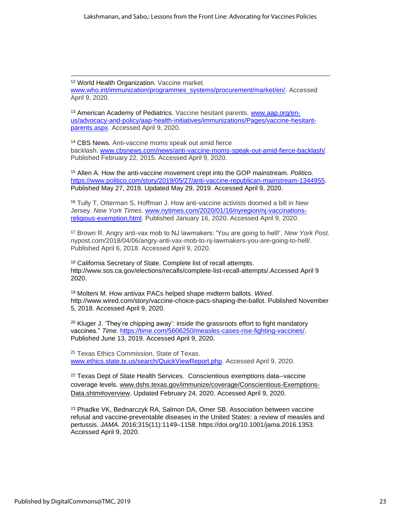<sup>12</sup> World Health Organization. Vaccine market. [www.who.int/immunization/programmes\\_systems/procurement/market/en/.](http://www.who.int/immunization/programmes_systems/procurement/market/en/) Accessed April 9, 2020.

<sup>13</sup> American Academy of Pediatrics. Vaccine hesitant parents. [www.aap.org/en](http://www.aap.org/en-us/advocacy-and-policy/aap-health-initiatives/immunizations/Pages/vaccine-hesitant-parents.aspx)[us/advocacy-and-policy/aap-health-initiatives/immunizations/Pages/vaccine-hesitant](http://www.aap.org/en-us/advocacy-and-policy/aap-health-initiatives/immunizations/Pages/vaccine-hesitant-parents.aspx)[parents.aspx.](http://www.aap.org/en-us/advocacy-and-policy/aap-health-initiatives/immunizations/Pages/vaccine-hesitant-parents.aspx) Accessed April 9, 2020.

<sup>14</sup> CBS News. Anti-vaccine moms speak out amid fierce backlash. [www.cbsnews.com/news/anti-vaccine-moms-speak-out-amid-fierce-backlash/.](http://www.cbsnews.com/news/anti-vaccine-moms-speak-out-amid-fierce-backlash/) Published February 22, 2015. Accessed April 9, 2020.

<sup>15</sup> Allen A. How the anti-vaccine movement crept into the GOP mainstream. *Politico.* [https://www.politico.com/story/2019/05/27/anti-vaccine-republican-mainstream-1344955.](https://www.politico.com/story/2019/05/27/anti-vaccine-republican-mainstream-1344955) Published May 27, 2019. Updated May 29, 2019. Accessed April 9, 2020.

<sup>16</sup> Tully T, Otterman S, Hoffman J. How anti-vaccine activists doomed a bill in New Jersey. *New York Times*. [www.nytimes.com/2020/01/16/nyregion/nj-vaccinations](http://www.nytimes.com/2020/01/16/nyregion/nj-vaccinations-religious-exemption.html)[religious-exemption.html.](http://www.nytimes.com/2020/01/16/nyregion/nj-vaccinations-religious-exemption.html) Published January 16, 2020. Accessed April 9, 2020.

<sup>17</sup> Brown R. Angry anti-vax mob to NJ lawmakers: 'You are going to hell!'. *New York Post.* nypost.com/2018/04/06/angry-anti-vax-mob-to-nj-lawmakers-you-are-going-to-hell/. Published April 6, 2018. Accessed April 9, 2020.

<sup>18</sup> California Secretary of State. Complete list of recall attempts. http://www.sos.ca.gov/elections/recalls/complete-list-recall-attempts/.Accessed April 9 2020.

<sup>19</sup> Molteni M. How antivax PACs helped shape midterm ballots. *Wired.* http://www.wired.com/story/vaccine-choice-pacs-shaping-the-ballot. Published November 5, 2018. Accessed April 9, 2020.

<sup>20</sup> Kluger J. 'They're chipping away': inside the grassroots effort to fight mandatory vaccines." *Time.* [https://time.com/5606250/measles-cases-rise-fighting-vaccines/.](https://time.com/5606250/measles-cases-rise-fighting-vaccines/) Published June 13, 2019. Accessed April 9, 2020.

<sup>21</sup> Texas Ethics Commission, State of Texas. [www.ethics.state.tx.us/search/QuickViewReport.php.](http://www.ethics.state.tx.us/search/QuickViewReport.php) Accessed April 9, 2020.

<sup>22</sup> Texas Dept of State Health Services. Conscientious exemptions data--vaccine coverage levels. [www.dshs.texas.gov/immunize/coverage/Conscientious-Exemptions-](http://www.dshs.texas.gov/immunize/coverage/Conscientious-Exemptions-Data.shtm#overview)[Data.shtm#overview.](http://www.dshs.texas.gov/immunize/coverage/Conscientious-Exemptions-Data.shtm#overview) Updated February 24, 2020. Accessed April 9, 2020.

<sup>23</sup> Phadke VK, Bednarczyk RA, Salmon DA, Omer SB. Association between vaccine refusal and vaccine-preventable diseases in the United States: a review of measles and pertussis. *JAMA.* 2016;315(11):1149–1158. [https://doi.org/10.1001/jama.2016.1353.](https://doi.org/10.1001/jama.2016.1353) Accessed April 9, 2020.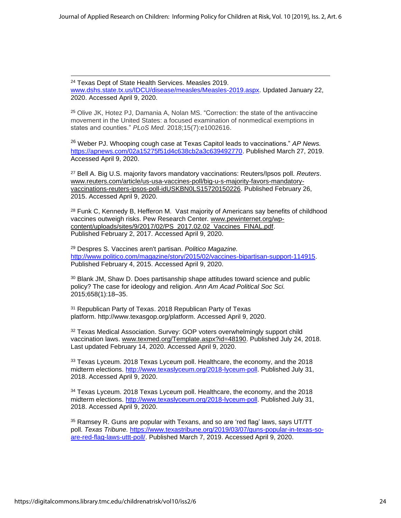<sup>24</sup> Texas Dept of State Health Services. Measles 2019. [www.dshs.state.tx.us/IDCU/disease/measles/Measles-2019.aspx.](http://www.dshs.state.tx.us/IDCU/disease/measles/Measles-2019.aspx) Updated January 22, 2020. Accessed April 9, 2020.

<sup>25</sup> Olive JK, Hotez PJ, Damania A, Nolan MS. "Correction: the state of the antivaccine movement in the United States: a focused examination of nonmedical exemptions in states and counties." *PLoS Med.* 2018;15(7):e1002616.

<sup>26</sup> Weber PJ. Whooping cough case at Texas Capitol leads to vaccinations." *AP News.* [https://apnews.com/02a15275f51d4c638cb2a3c639492770.](https://apnews.com/02a15275f51d4c638cb2a3c639492770) Published March 27, 2019. Accessed April 9, 2020.

<sup>27</sup> Bell A. Big U.S. majority favors mandatory vaccinations: Reuters/Ipsos poll. *Reuters*. [www.reuters.com/article/us-usa-vaccines-poll/big-u-s-majority-favors-mandatory](http://www.reuters.com/article/us-usa-vaccines-poll/big-u-s-majority-favors-mandatory-vaccinations-reuters-ipsos-poll-idUSKBN0LS15720150226)[vaccinations-reuters-ipsos-poll-idUSKBN0LS15720150226.](http://www.reuters.com/article/us-usa-vaccines-poll/big-u-s-majority-favors-mandatory-vaccinations-reuters-ipsos-poll-idUSKBN0LS15720150226) Published February 26, 2015. Accessed April 9, 2020.

<sup>28</sup> Funk C, Kennedy B, Hefferon M. Vast majority of Americans say benefits of childhood vaccines outweigh risks. Pew Research Center*.* [www.pewinternet.org/wp](http://www.pewinternet.org/wp-content/uploads/sites/9/2017/02/PS_2017.02.02_Vaccines_FINAL.pdf)[content/uploads/sites/9/2017/02/PS\\_2017.02.02\\_Vaccines\\_FINAL.pdf.](http://www.pewinternet.org/wp-content/uploads/sites/9/2017/02/PS_2017.02.02_Vaccines_FINAL.pdf) Published February 2, 2017. Accessed April 9, 2020.

<sup>29</sup> Despres S. Vaccines aren't partisan. *Politico Magazine.* [http://www.politico.com/magazine/story/2015/02/vaccines-bipartisan-support-114915.](http://www.politico.com/magazine/story/2015/02/vaccines-bipartisan-support-114915) Published February 4, 2015. Accessed April 9, 2020.

<sup>30</sup> Blank JM, Shaw D. Does partisanship shape attitudes toward science and public policy? The case for ideology and religion. *Ann Am Acad Political Soc Sci.* 2015;658(1):18–35.

<sup>31</sup> Republican Party of Texas. 2018 Republican Party of Texas platform. http://www.texasgop.org/platform. Accessed April 9, 2020.

<sup>32</sup> Texas Medical Association. Survey: GOP voters overwhelmingly support child vaccination laws. [www.texmed.org/Template.aspx?id=48190.](http://www.texmed.org/Template.aspx?id=48190) Published July 24, 2018. Last updated February 14, 2020. Accessed April 9, 2020.

<sup>33</sup> Texas Lyceum. 2018 Texas Lyceum poll. Healthcare, the economy, and the 2018 midterm elections. [http://www.texaslyceum.org/2018-lyceum-poll.](http://www.texaslyceum.org/2018-lyceum-poll) Published July 31, 2018. Accessed April 9, 2020.

<sup>34</sup> Texas Lyceum. 2018 Texas Lyceum poll. Healthcare, the economy, and the 2018 midterm elections. [http://www.texaslyceum.org/2018-lyceum-poll.](http://www.texaslyceum.org/2018-lyceum-poll) Published July 31, 2018. Accessed April 9, 2020.

<sup>35</sup> Ramsey R. Guns are popular with Texans, and so are 'red flag' laws, says UT/TT poll. *Texas Tribune.* [https://www.texastribune.org/2019/03/07/guns-popular-in-texas-so](https://www.texastribune.org/2019/03/07/guns-popular-in-texas-so-are-red-flag-laws-uttt-poll/)[are-red-flag-laws-uttt-poll/.](https://www.texastribune.org/2019/03/07/guns-popular-in-texas-so-are-red-flag-laws-uttt-poll/) Published March 7, 2019. Accessed April 9, 2020.